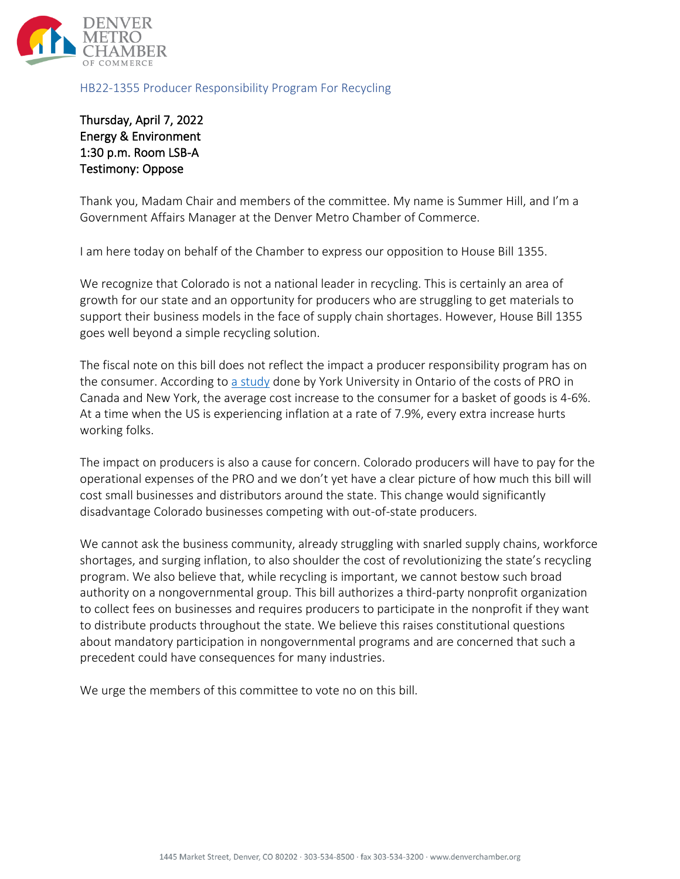

HB22-1355 Producer Responsibility Program For Recycling

Thursday, April 7, 2022 Energy & Environment 1:30 p.m. Room LSB-A Testimony: Oppose

Thank you, Madam Chair and members of the committee. My name is Summer Hill, and I'm a Government Affairs Manager at the Denver Metro Chamber of Commerce.

I am here today on behalf of the Chamber to express our opposition to House Bill 1355.

We recognize that Colorado is not a national leader in recycling. This is certainly an area of growth for our state and an opportunity for producers who are struggling to get materials to support their business models in the face of supply chain shortages. However, House Bill 1355 goes well beyond a simple recycling solution.

The fiscal note on this bill does not reflect the impact a producer responsibility program has on the consumer. According to [a study](https://ilsr.org/wp-content/uploads/2021/02/Extended-Producer-Responsibility-Primer-FAQ.pdf) done by York University in Ontario of the costs of PRO in Canada and New York, the average cost increase to the consumer for a basket of goods is 4-6%. At a time when the US is experiencing inflation at a rate of 7.9%, every extra increase hurts working folks.

The impact on producers is also a cause for concern. Colorado producers will have to pay for the operational expenses of the PRO and we don't yet have a clear picture of how much this bill will cost small businesses and distributors around the state. This change would significantly disadvantage Colorado businesses competing with out-of-state producers.

We cannot ask the business community, already struggling with snarled supply chains, workforce shortages, and surging inflation, to also shoulder the cost of revolutionizing the state's recycling program. We also believe that, while recycling is important, we cannot bestow such broad authority on a nongovernmental group. This bill authorizes a third-party nonprofit organization to collect fees on businesses and requires producers to participate in the nonprofit if they want to distribute products throughout the state. We believe this raises constitutional questions about mandatory participation in nongovernmental programs and are concerned that such a precedent could have consequences for many industries.

We urge the members of this committee to vote no on this bill.